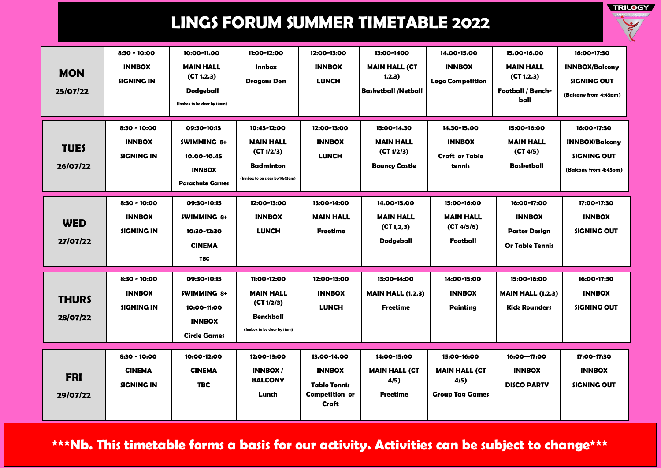

| <b>MON</b><br>25/07/22   | 8:30 - 10:00<br><b>INNBOX</b><br><b>SIGNING IN</b> | 10:00-11.00<br><b>MAIN HALL</b><br>(CT 1.2.3)<br><b>Dodgeball</b><br>(Innbox to be clear by 10am) | 11:00-12:00<br><b>Innbox</b><br><b>Dragons Den</b>                                                   | 12:00-13:00<br><b>INNBOX</b><br><b>LUNCH</b>                                   | 13:00-1400<br><b>MAIN HALL (CT</b><br>1,2,3)<br><b>Basketball /Netball</b> | 14.00-15.00<br><b>INNBOX</b><br><b>Lego Competition</b>               | 15.00-16.00<br><b>MAIN HALL</b><br>(CI 1, 2, 3)<br><b>Football / Bench-</b><br>ball | 16:00-17:30<br><b>INNBOX/Balcony</b><br>SIGNING OUT<br>(Balcony from 4:45pm) |
|--------------------------|----------------------------------------------------|---------------------------------------------------------------------------------------------------|------------------------------------------------------------------------------------------------------|--------------------------------------------------------------------------------|----------------------------------------------------------------------------|-----------------------------------------------------------------------|-------------------------------------------------------------------------------------|------------------------------------------------------------------------------|
| <b>TUES</b><br>26/07/22  | 8:30 - 10:00<br><b>INNBOX</b><br><b>SIGNING IN</b> | 09:30-10:15<br><b>SWIMMING 8+</b><br>10.00-10.45<br><b>INNBOX</b><br><b>Parachute Games</b>       | 10:45-12:00<br><b>MAIN HALL</b><br>(CT 1/2/3)<br><b>Badminton</b><br>(Innbox to be clear by 10:45am) | 12:00-13:00<br><b>INNBOX</b><br><b>LUNCH</b>                                   | 13:00-14.30<br><b>MAIN HALL</b><br>(CI 1/2/3)<br><b>Bouncy Castle</b>      | 14.30-15.00<br><b>INNBOX</b><br><b>Craft or Table</b><br>tennis       | 15:00-16:00<br><b>MAIN HALL</b><br>(CT 4/5)<br><b>Basketball</b>                    | 16:00-17:30<br><b>INNBOX/Balcony</b><br>SIGNING OUT<br>(Balcony from 4:45pm) |
| <b>WED</b><br>27/07/22   | 8:30 - 10:00<br><b>INNBOX</b><br><b>SIGNING IN</b> | 09:30-10:15<br><b>SWIMMING 8+</b><br>10:30-12:30<br><b>CINEMA</b><br><b>TBC</b>                   | 12:00-13:00<br><b>INNBOX</b><br><b>LUNCH</b>                                                         | 13:00-14:00<br><b>MAIN HALL</b><br><b>Freetime</b>                             | 14.00-15.00<br><b>MAIN HALL</b><br>(CT 1, 2, 3)<br><b>Dodgeball</b>        | 15:00-16:00<br><b>MAIN HALL</b><br>(CT 4/5/6)<br>Football             | 16:00-17:00<br><b>INNBOX</b><br><b>Poster Design</b><br><b>Or Table Tennis</b>      | 17:00-17:30<br><b>INNBOX</b><br>SIGNING OUT                                  |
| <b>THURS</b><br>28/07/22 | 8:30 - 10:00<br><b>INNBOX</b><br><b>SIGNING IN</b> | 09:30-10:15<br><b>SWIMMING 8+</b><br>10:00-11:00<br><b>INNBOX</b><br><b>Circle Games</b>          | 11:00-12:00<br><b>MAIN HALL</b><br>(CI 1/2/3)<br><b>Benchball</b><br>(Innbox to be clear by 11am)    | 12:00-13:00<br><b>INNBOX</b><br><b>LUNCH</b>                                   | 13:00-14:00<br><b>MAIN HALL (1,2,3)</b><br><b>Freetime</b>                 | 14:00-15:00<br><b>INNBOX</b><br><b>Painting</b>                       | 15:00-16:00<br><b>MAIN HALL (1,2,3)</b><br><b>Kick Rounders</b>                     | 16:00-17:30<br><b>INNBOX</b><br><b>SIGNING OUT</b>                           |
| <b>FRI</b><br>29/07/22   | 8:30 - 10:00<br><b>CINEMA</b><br><b>SIGNING IN</b> | 10:00-12:00<br><b>CINEMA</b><br><b>TBC</b>                                                        | 12:00-13:00<br><b>INNBOX/</b><br><b>BALCONY</b><br>Lunch                                             | 13.00-14.00<br><b>INNBOX</b><br><b>Table Tennis</b><br>Competition or<br>Craft | 14:00-15:00<br><b>MAIN HALL (CT</b><br>4/5)<br><b>Freetime</b>             | 15:00-16:00<br><b>MAIN HALL (CT</b><br>4/5)<br><b>Group Tag Games</b> | 16:00-17:00<br><b>INNBOX</b><br><b>DISCO PARTY</b>                                  | 17:00-17:30<br><b>INNBOX</b><br><b>SIGNING OUT</b>                           |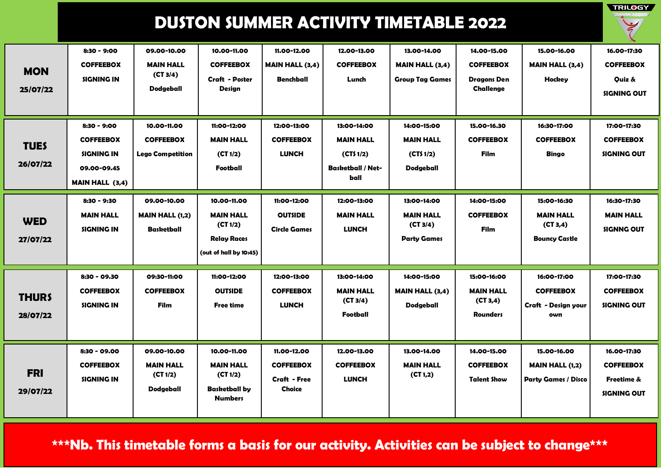**TRILOGY** 

| <b>MON</b><br>25/07/22   | $8:30 - 9:00$<br><b>COFFEEBOX</b><br><b>SIGNING IN</b>                                          | 09.00-10.00<br><b>MAIN HALL</b><br>(CT 3/4)<br><b>Dodgeball</b> | 10.00-11.00<br><b>COFFEEBOX</b><br><b>Craft - Poster</b><br>Design                          | 11.00-12.00<br><b>MAIN HALL (3,4)</b><br><b>Benchball</b>               | 12.00-13.00<br><b>COFFEEBOX</b><br>Lunch                                        | 13.00-14.00<br><b>MAIN HALL (3,4)</b><br><b>Group Tag Games</b>   | 14.00-15.00<br><b>COFFEEBOX</b><br><b>Dragons Den</b><br>Challenge | 15.00-16.00<br><b>MAIN HALL (3,4)</b><br><b>Hockey</b>               | 16.00-17:30<br><b>COFFEEBOX</b><br>Quiz &<br><b>SIGNING OUT</b>     |
|--------------------------|-------------------------------------------------------------------------------------------------|-----------------------------------------------------------------|---------------------------------------------------------------------------------------------|-------------------------------------------------------------------------|---------------------------------------------------------------------------------|-------------------------------------------------------------------|--------------------------------------------------------------------|----------------------------------------------------------------------|---------------------------------------------------------------------|
| <b>TUES</b><br>26/07/22  | $8:30 - 9:00$<br><b>COFFEEBOX</b><br><b>SIGNING IN</b><br>09.00-09.45<br><b>MAIN HALL (3,4)</b> | 10.00-11.00<br><b>COFFEEBOX</b><br><b>Lego Competition</b>      | 11:00-12:00<br><b>MAIN HALL</b><br>(CI 1/2)<br>Football                                     | 12:00-13:00<br><b>COFFEEBOX</b><br><b>LUNCH</b>                         | 13:00-14:00<br><b>MAIN HALL</b><br>(CTS1/2)<br><b>Basketball / Net-</b><br>ball | 14:00-15:00<br><b>MAIN HALL</b><br>(CTS 1/2)<br>Dodgeball         | 15.00-16.30<br><b>COFFEEBOX</b><br>Film                            | 16:30-17:00<br><b>COFFEEBOX</b><br><b>Bingo</b>                      | 17:00-17:30<br><b>COFFEEBOX</b><br>SIGNING OUT                      |
| <b>WED</b><br>27/07/22   | $8:30 - 9:30$<br><b>MAIN HALL</b><br><b>SIGNING IN</b>                                          | 09.00-10.00<br><b>MAIN HALL (1,2)</b><br><b>Basketball</b>      | 10.00-11.00<br><b>MAIN HALL</b><br>(CI 1/2)<br><b>Relay Races</b><br>(out of hall by 10:45) | 11:00-12:00<br><b>OUTSIDE</b><br><b>Circle Games</b>                    | 12:00-13:00<br><b>MAIN HALL</b><br><b>LUNCH</b>                                 | 13:00-14:00<br><b>MAIN HALL</b><br>(CT 3/4)<br><b>Party Games</b> | 14:00-15:00<br><b>COFFEEBOX</b><br>Film                            | 15:00-16:30<br><b>MAIN HALL</b><br>(CT 3, 4)<br><b>Bouncy Castle</b> | 16:30-17:30<br><b>MAIN HALL</b><br><b>SIGNNG OUT</b>                |
| <b>THURS</b><br>28/07/22 | 8:30 - 09.30<br><b>COFFEEBOX</b><br><b>SIGNING IN</b>                                           | 09:30-11:00<br><b>COFFEEBOX</b><br>Film                         | 11:00-12:00<br><b>OUTSIDE</b><br><b>Free time</b>                                           | 12:00-13:00<br><b>COFFEEBOX</b><br><b>LUNCH</b>                         | 13:00-14:00<br><b>MAIN HALL</b><br>(CI 3/4)<br>Football                         | 14:00-15:00<br><b>MAIN HALL (3,4)</b><br><b>Dodgeball</b>         | 15:00-16:00<br><b>MAIN HALL</b><br>(CT 3, 4)<br><b>Rounders</b>    | 16:00-17:00<br><b>COFFEEBOX</b><br>Craft - Design your<br>own        | 17:00-17:30<br><b>COFFEEBOX</b><br><b>SIGNING OUT</b>               |
| <b>FRI</b><br>29/07/22   | 8:30 - 09.00<br><b>COFFEEBOX</b><br><b>SIGNING IN</b>                                           | 09.00-10.00<br><b>MAIN HALL</b><br>(CT 1/2)<br>Dodgeball        | 10.00-11.00<br><b>MAIN HALL</b><br>(CI 1/2)<br><b>Basketball by</b><br><b>Numbers</b>       | 11.00-12.00<br><b>COFFEEBOX</b><br><b>Craft - Free</b><br><b>Choice</b> | 12.00-13.00<br><b>COFFEEBOX</b><br><b>LUNCH</b>                                 | 13.00-14.00<br><b>MAIN HALL</b><br>(CI 1, 2)                      | 14.00-15.00<br><b>COFFEEBOX</b><br><b>Talent Show</b>              | 15.00-16.00<br><b>MAIN HALL (1,2)</b><br><b>Party Games / Disco</b>  | 16.00-17:30<br><b>COFFEEBOX</b><br>Freetime &<br><b>SIGNING OUT</b> |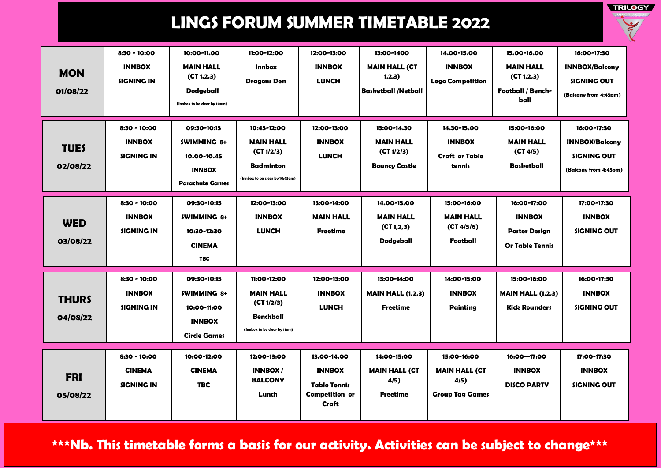

| <b>MON</b><br>01/08/22   | 8:30 - 10:00<br><b>INNBOX</b><br><b>SIGNING IN</b> | 10:00-11.00<br><b>MAIN HALL</b><br>(CT 1.2.3)<br><b>Dodgeball</b><br>(Innbox to be clear by 10am) | 11:00-12:00<br><b>Innbox</b><br><b>Dragons Den</b>                                                   | 12:00-13:00<br><b>INNBOX</b><br><b>LUNCH</b>                                   | 13:00-1400<br><b>MAIN HALL (CT</b><br>1,2,3)<br><b>Basketball /Netball</b> | 14.00-15.00<br><b>INNBOX</b><br><b>Lego Competition</b>               | 15.00-16.00<br><b>MAIN HALL</b><br>(CI 1, 2, 3)<br><b>Football / Bench-</b><br>ball | 16:00-17:30<br><b>INNBOX/Balcony</b><br>SIGNING OUT<br>(Balcony from 4:45pm) |
|--------------------------|----------------------------------------------------|---------------------------------------------------------------------------------------------------|------------------------------------------------------------------------------------------------------|--------------------------------------------------------------------------------|----------------------------------------------------------------------------|-----------------------------------------------------------------------|-------------------------------------------------------------------------------------|------------------------------------------------------------------------------|
| <b>TUES</b><br>02/08/22  | 8:30 - 10:00<br><b>INNBOX</b><br><b>SIGNING IN</b> | 09:30-10:15<br><b>SWIMMING 8+</b><br>10.00-10.45<br><b>INNBOX</b><br><b>Parachute Games</b>       | 10:45-12:00<br><b>MAIN HALL</b><br>(CT 1/2/3)<br><b>Badminton</b><br>(Innbox to be clear by 10:45am) | 12:00-13:00<br><b>INNBOX</b><br><b>LUNCH</b>                                   | 13:00-14.30<br><b>MAIN HALL</b><br>(CI 1/2/3)<br><b>Bouncy Castle</b>      | 14.30-15.00<br><b>INNBOX</b><br><b>Craft or Table</b><br>tennis       | 15:00-16:00<br><b>MAIN HALL</b><br>(CT 4/5)<br><b>Basketball</b>                    | 16:00-17:30<br><b>INNBOX/Balcony</b><br>SIGNING OUT<br>(Balcony from 4:45pm) |
| <b>WED</b><br>03/08/22   | 8:30 - 10:00<br><b>INNBOX</b><br><b>SIGNING IN</b> | 09:30-10:15<br><b>SWIMMING 8+</b><br>10:30-12:30<br><b>CINEMA</b><br><b>TBC</b>                   | 12:00-13:00<br><b>INNBOX</b><br><b>LUNCH</b>                                                         | 13:00-14:00<br><b>MAIN HALL</b><br><b>Freetime</b>                             | 14.00-15.00<br><b>MAIN HALL</b><br>(CT 1, 2, 3)<br><b>Dodgeball</b>        | 15:00-16:00<br><b>MAIN HALL</b><br>(CT 4/5/6)<br>Football             | 16:00-17:00<br><b>INNBOX</b><br><b>Poster Design</b><br><b>Or Table Tennis</b>      | 17:00-17:30<br><b>INNBOX</b><br>SIGNING OUT                                  |
| <b>THURS</b><br>04/08/22 | 8:30 - 10:00<br><b>INNBOX</b><br><b>SIGNING IN</b> | 09:30-10:15<br><b>SWIMMING 8+</b><br>10:00-11:00<br><b>INNBOX</b><br><b>Circle Games</b>          | 11:00-12:00<br><b>MAIN HALL</b><br>(CI 1/2/3)<br><b>Benchball</b><br>(Innbox to be clear by 11am)    | 12:00-13:00<br><b>INNBOX</b><br><b>LUNCH</b>                                   | 13:00-14:00<br><b>MAIN HALL (1,2,3)</b><br><b>Freetime</b>                 | 14:00-15:00<br><b>INNBOX</b><br><b>Painting</b>                       | 15:00-16:00<br><b>MAIN HALL (1,2,3)</b><br><b>Kick Rounders</b>                     | 16:00-17:30<br><b>INNBOX</b><br><b>SIGNING OUT</b>                           |
| <b>FRI</b><br>05/08/22   | 8:30 - 10:00<br><b>CINEMA</b><br><b>SIGNING IN</b> | 10:00-12:00<br><b>CINEMA</b><br><b>TBC</b>                                                        | 12:00-13:00<br><b>INNBOX/</b><br><b>BALCONY</b><br>Lunch                                             | 13.00-14.00<br><b>INNBOX</b><br><b>Table Tennis</b><br>Competition or<br>Craft | 14:00-15:00<br><b>MAIN HALL (CT</b><br>4/5)<br><b>Freetime</b>             | 15:00-16:00<br><b>MAIN HALL (CT</b><br>4/5)<br><b>Group Tag Games</b> | 16:00-17:00<br><b>INNBOX</b><br><b>DISCO PARTY</b>                                  | 17:00-17:30<br><b>INNBOX</b><br><b>SIGNING OUT</b>                           |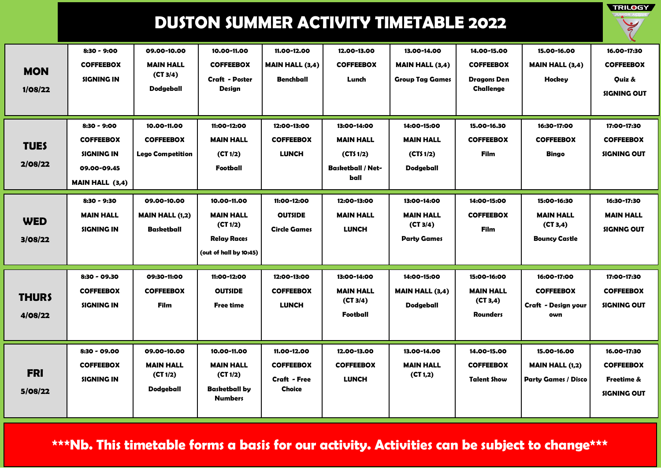**TRILOGY** 

| <b>MON</b><br>1/08/22   | $8:30 - 9:00$<br><b>COFFEEBOX</b><br><b>SIGNING IN</b>                                          | 09.00-10.00<br><b>MAIN HALL</b><br>(CT 3/4)<br><b>Dodgeball</b> | 10.00-11.00<br><b>COFFEEBOX</b><br><b>Craft - Poster</b><br><b>Design</b>                   | 11.00-12.00<br><b>MAIN HALL (3,4)</b><br>Benchball                      | 12.00-13.00<br><b>COFFEEBOX</b><br>Lunch                                        | 13.00-14.00<br><b>MAIN HALL (3,4)</b><br><b>Group Tag Games</b>   | 14.00-15.00<br><b>COFFEEBOX</b><br><b>Dragons Den</b><br><b>Challenge</b> | 15.00-16.00<br><b>MAIN HALL (3,4)</b><br>Hockey                      | 16.00-17:30<br><b>COFFEEBOX</b><br>Quiz &<br><b>SIGNING OUT</b> |
|-------------------------|-------------------------------------------------------------------------------------------------|-----------------------------------------------------------------|---------------------------------------------------------------------------------------------|-------------------------------------------------------------------------|---------------------------------------------------------------------------------|-------------------------------------------------------------------|---------------------------------------------------------------------------|----------------------------------------------------------------------|-----------------------------------------------------------------|
| <b>TUES</b><br>2/08/22  | $8:30 - 9:00$<br><b>COFFEEBOX</b><br><b>SIGNING IN</b><br>09.00-09.45<br><b>MAIN HALL (3,4)</b> | 10.00-11.00<br><b>COFFEEBOX</b><br><b>Lego Competition</b>      | 11:00-12:00<br><b>MAIN HALL</b><br>(CT 1/2)<br>Football                                     | 12:00-13:00<br><b>COFFEEBOX</b><br><b>LUNCH</b>                         | 13:00-14:00<br><b>MAIN HALL</b><br>(CTS1/2)<br><b>Basketball / Net-</b><br>ball | 14:00-15:00<br><b>MAIN HALL</b><br>(CTS 1/2)<br><b>Dodgeball</b>  | 15.00-16.30<br><b>COFFEEBOX</b><br><b>Film</b>                            | 16:30-17:00<br><b>COFFEEBOX</b><br><b>Bingo</b>                      | 17:00-17:30<br><b>COFFEEBOX</b><br>SIGNING OUT                  |
| <b>WED</b><br>3/08/22   | $8:30 - 9:30$<br><b>MAIN HALL</b><br><b>SIGNING IN</b>                                          | 09.00-10.00<br><b>MAIN HALL (1,2)</b><br><b>Basketball</b>      | 10.00-11.00<br><b>MAIN HALL</b><br>(CI 1/2)<br><b>Relay Races</b><br>(out of hall by 10:45) | 11:00-12:00<br><b>OUTSIDE</b><br><b>Circle Games</b>                    | 12:00-13:00<br><b>MAIN HALL</b><br><b>LUNCH</b>                                 | 13:00-14:00<br><b>MAIN HALL</b><br>(CT 3/4)<br><b>Party Games</b> | 14:00-15:00<br><b>COFFEEBOX</b><br>Film                                   | 15:00-16:30<br><b>MAIN HALL</b><br>(CT 3, 4)<br><b>Bouncy Castle</b> | 16:30-17:30<br><b>MAIN HALL</b><br><b>SIGNNG OUT</b>            |
| <b>THURS</b><br>4/08/22 | 8:30 - 09.30<br><b>COFFEEBOX</b><br><b>SIGNING IN</b>                                           | 09:30-11:00<br><b>COFFEEBOX</b><br>Film                         | 11:00-12:00<br><b>OUTSIDE</b><br><b>Free time</b>                                           | 12:00-13:00<br><b>COFFEEBOX</b><br><b>LUNCH</b>                         | 13:00-14:00<br><b>MAIN HALL</b><br>(CT 3/4)<br>Football                         | 14:00-15:00<br><b>MAIN HALL (3,4)</b><br><b>Dodgeball</b>         | 15:00-16:00<br><b>MAIN HALL</b><br>(CT 3, 4)<br><b>Rounders</b>           | 16:00-17:00<br><b>COFFEEBOX</b><br>Craft - Design your<br>own        | 17:00-17:30<br><b>COFFEEBOX</b><br>SIGNING OUT                  |
| <b>FRI</b><br>5/08/22   | 8:30 - 09.00<br><b>COFFEEBOX</b><br><b>SIGNING IN</b>                                           | 09.00-10.00<br><b>MAIN HALL</b><br>(CI 1/2)<br><b>Dodgeball</b> | 10.00-11.00<br><b>MAIN HALL</b><br>(CT 1/2)<br><b>Basketball by</b><br><b>Numbers</b>       | 11.00-12.00<br><b>COFFEEBOX</b><br><b>Craft - Free</b><br><b>Choice</b> | 12.00-13.00<br><b>COFFEEBOX</b><br><b>LUNCH</b>                                 | 13.00-14.00<br><b>MAIN HALL</b><br>(CT 1,2)                       | 14.00-15.00<br><b>COFFEEBOX</b><br><b>Talent Show</b>                     | 15.00-16.00<br><b>MAIN HALL (1,2)</b><br><b>Party Games / Disco</b>  | 16.00-17:30<br><b>COFFEEBOX</b><br>Freetime &<br>SIGNING OUT    |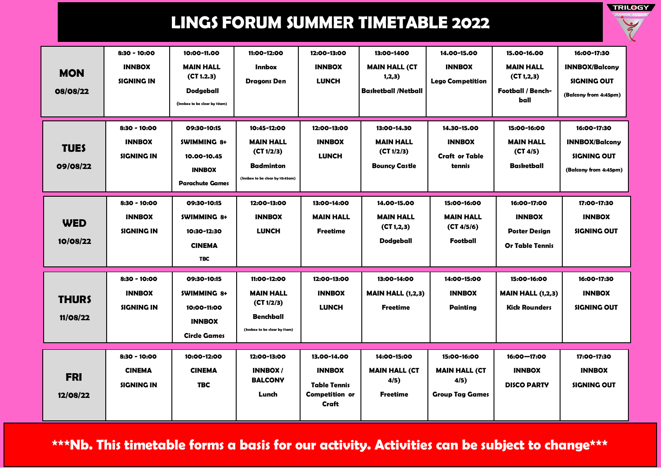

| <b>MON</b><br>08/08/22   | 8:30 - 10:00<br><b>INNBOX</b><br><b>SIGNING IN</b> | 10:00-11.00<br><b>MAIN HALL</b><br>(CT 1.2.3)<br><b>Dodgeball</b><br>(Innbox to be clear by 10am) | 11:00-12:00<br><b>Innbox</b><br><b>Dragons Den</b>                                                   | 12:00-13:00<br><b>INNBOX</b><br><b>LUNCH</b>                                   | 13:00-1400<br><b>MAIN HALL (CT</b><br>1,2,3)<br><b>Basketball /Netball</b> | 14.00-15.00<br><b>INNBOX</b><br><b>Lego Competition</b>               | 15.00-16.00<br><b>MAIN HALL</b><br>(CI 1, 2, 3)<br><b>Football / Bench-</b><br>ball | 16:00-17:30<br><b>INNBOX/Balcony</b><br>SIGNING OUT<br>(Balcony from 4:45pm) |
|--------------------------|----------------------------------------------------|---------------------------------------------------------------------------------------------------|------------------------------------------------------------------------------------------------------|--------------------------------------------------------------------------------|----------------------------------------------------------------------------|-----------------------------------------------------------------------|-------------------------------------------------------------------------------------|------------------------------------------------------------------------------|
| <b>TUES</b><br>09/08/22  | 8:30 - 10:00<br><b>INNBOX</b><br><b>SIGNING IN</b> | 09:30-10:15<br><b>SWIMMING 8+</b><br>10.00-10.45<br><b>INNBOX</b><br><b>Parachute Games</b>       | 10:45-12:00<br><b>MAIN HALL</b><br>(CT 1/2/3)<br><b>Badminton</b><br>(Innbox to be clear by 10:45am) | 12:00-13:00<br><b>INNBOX</b><br><b>LUNCH</b>                                   | 13:00-14.30<br><b>MAIN HALL</b><br>(CI 1/2/3)<br><b>Bouncy Castle</b>      | 14.30-15.00<br><b>INNBOX</b><br><b>Craft or Table</b><br>tennis       | 15:00-16:00<br><b>MAIN HALL</b><br>(CI 4/5)<br><b>Basketball</b>                    | 16:00-17:30<br><b>INNBOX/Balcony</b><br>SIGNING OUT<br>(Balcony from 4:45pm) |
| <b>WED</b><br>10/08/22   | 8:30 - 10:00<br><b>INNBOX</b><br><b>SIGNING IN</b> | 09:30-10:15<br><b>SWIMMING 8+</b><br>10:30-12:30<br><b>CINEMA</b><br><b>TBC</b>                   | 12:00-13:00<br><b>INNBOX</b><br><b>LUNCH</b>                                                         | 13:00-14:00<br><b>MAIN HALL</b><br><b>Freetime</b>                             | 14.00-15.00<br><b>MAIN HALL</b><br>(CT 1, 2, 3)<br><b>Dodgeball</b>        | 15:00-16:00<br><b>MAIN HALL</b><br>(CT 4/5/6)<br>Football             | 16:00-17:00<br><b>INNBOX</b><br><b>Poster Design</b><br><b>Or Table Tennis</b>      | 17:00-17:30<br><b>INNBOX</b><br>SIGNING OUT                                  |
| <b>THURS</b><br>11/08/22 | 8:30 - 10:00<br><b>INNBOX</b><br><b>SIGNING IN</b> | 09:30-10:15<br><b>SWIMMING 8+</b><br>10:00-11:00<br><b>INNBOX</b><br><b>Circle Games</b>          | 11:00-12:00<br><b>MAIN HALL</b><br>(CI 1/2/3)<br><b>Benchball</b><br>(Innbox to be clear by 11am)    | 12:00-13:00<br><b>INNBOX</b><br><b>LUNCH</b>                                   | 13:00-14:00<br><b>MAIN HALL (1,2,3)</b><br><b>Freetime</b>                 | 14:00-15:00<br><b>INNBOX</b><br><b>Painting</b>                       | 15:00-16:00<br><b>MAIN HALL (1,2,3)</b><br><b>Kick Rounders</b>                     | 16:00-17:30<br><b>INNBOX</b><br><b>SIGNING OUT</b>                           |
| <b>FRI</b><br>12/08/22   | 8:30 - 10:00<br><b>CINEMA</b><br><b>SIGNING IN</b> | 10:00-12:00<br><b>CINEMA</b><br><b>TBC</b>                                                        | 12:00-13:00<br><b>INNBOX/</b><br><b>BALCONY</b><br>Lunch                                             | 13.00-14.00<br><b>INNBOX</b><br><b>Table Tennis</b><br>Competition or<br>Craft | 14:00-15:00<br><b>MAIN HALL (CT</b><br>4/5)<br><b>Freetime</b>             | 15:00-16:00<br><b>MAIN HALL (CT</b><br>4/5)<br><b>Group Tag Games</b> | 16:00-17:00<br><b>INNBOX</b><br><b>DISCO PARTY</b>                                  | 17:00-17:30<br><b>INNBOX</b><br><b>SIGNING OUT</b>                           |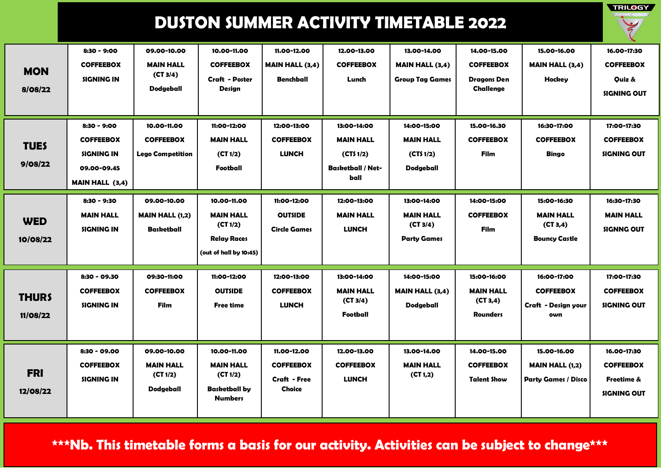**TRILOGY** 

| <b>MON</b><br>8/08/22    | $8:30 - 9:00$<br><b>COFFEEBOX</b><br><b>SIGNING IN</b>                                        | 09.00-10.00<br><b>MAIN HALL</b><br>(CT 3/4)<br><b>Dodgeball</b> | 10.00-11.00<br><b>COFFEEBOX</b><br><b>Craft - Poster</b><br>Design                          | 11.00-12.00<br><b>MAIN HALL (3,4)</b><br><b>Benchball</b>               | 12.00-13.00<br><b>COFFEEBOX</b><br>Lunch                                         | 13.00-14.00<br><b>MAIN HALL (3,4)</b><br><b>Group Tag Games</b>   | 14.00-15.00<br><b>COFFEEBOX</b><br><b>Dragons Den</b><br>Challenge | 15.00-16.00<br><b>MAIN HALL (3,4)</b><br><b>Hockey</b>               | 16.00-17:30<br><b>COFFEEBOX</b><br>Quiz &<br><b>SIGNING OUT</b> |
|--------------------------|-----------------------------------------------------------------------------------------------|-----------------------------------------------------------------|---------------------------------------------------------------------------------------------|-------------------------------------------------------------------------|----------------------------------------------------------------------------------|-------------------------------------------------------------------|--------------------------------------------------------------------|----------------------------------------------------------------------|-----------------------------------------------------------------|
| <b>TUES</b><br>9/08/22   | 8:30 - 9:00<br><b>COFFEEBOX</b><br><b>SIGNING IN</b><br>09.00-09.45<br><b>MAIN HALL (3,4)</b> | 10.00-11.00<br><b>COFFEEBOX</b><br><b>Lego Competition</b>      | 11:00-12:00<br><b>MAIN HALL</b><br>(CI 1/2)<br>Football                                     | 12:00-13:00<br><b>COFFEEBOX</b><br><b>LUNCH</b>                         | 13:00-14:00<br><b>MAIN HALL</b><br>(CTS 1/2)<br><b>Basketball / Net-</b><br>ball | 14:00-15:00<br><b>MAIN HALL</b><br>(CTS 1/2)<br><b>Dodgeball</b>  | 15.00-16.30<br><b>COFFEEBOX</b><br>Film                            | 16:30-17:00<br><b>COFFEEBOX</b><br><b>Bingo</b>                      | 17:00-17:30<br><b>COFFEEBOX</b><br><b>SIGNING OUT</b>           |
| <b>WED</b><br>10/08/22   | $8:30 - 9:30$<br><b>MAIN HALL</b><br><b>SIGNING IN</b>                                        | 09.00-10.00<br><b>MAIN HALL (1,2)</b><br><b>Basketball</b>      | 10.00-11.00<br><b>MAIN HALL</b><br>(CI 1/2)<br><b>Relay Races</b><br>(out of hall by 10:45) | 11:00-12:00<br><b>OUTSIDE</b><br><b>Circle Games</b>                    | 12:00-13:00<br><b>MAIN HALL</b><br><b>LUNCH</b>                                  | 13:00-14:00<br><b>MAIN HALL</b><br>(CT 3/4)<br><b>Party Games</b> | 14:00-15:00<br><b>COFFEEBOX</b><br><b>Film</b>                     | 15:00-16:30<br><b>MAIN HALL</b><br>(CT 3, 4)<br><b>Bouncy Castle</b> | 16:30-17:30<br><b>MAIN HALL</b><br><b>SIGNNG OUT</b>            |
| <b>THURS</b><br>11/08/22 | 8:30 - 09.30<br><b>COFFEEBOX</b><br><b>SIGNING IN</b>                                         | 09:30-11:00<br><b>COFFEEBOX</b><br>Film                         | 11:00-12:00<br><b>OUTSIDE</b><br><b>Free time</b>                                           | 12:00-13:00<br><b>COFFEEBOX</b><br><b>LUNCH</b>                         | 13:00-14:00<br><b>MAIN HALL</b><br>(CT 3/4)<br>Football                          | 14:00-15:00<br><b>MAIN HALL (3,4)</b><br><b>Dodgeball</b>         | 15:00-16:00<br><b>MAIN HALL</b><br>(CT 3, 4)<br><b>Rounders</b>    | 16:00-17:00<br><b>COFFEEBOX</b><br>Craft - Design your<br>own        | 17:00-17:30<br><b>COFFEEBOX</b><br>SIGNING OUT                  |
| <b>FRI</b><br>12/08/22   | 8:30 - 09.00<br><b>COFFEEBOX</b><br><b>SIGNING IN</b>                                         | 09.00-10.00<br><b>MAIN HALL</b><br>(CI 1/2)<br><b>Dodgeball</b> | 10.00-11.00<br><b>MAIN HALL</b><br>(CI 1/2)<br><b>Basketball by</b><br><b>Numbers</b>       | 11.00-12.00<br><b>COFFEEBOX</b><br><b>Craft - Free</b><br><b>Choice</b> | 12.00-13.00<br><b>COFFEEBOX</b><br><b>LUNCH</b>                                  | 13.00-14.00<br><b>MAIN HALL</b><br>(CT 1,2)                       | 14.00-15.00<br><b>COFFEEBOX</b><br><b>Talent Show</b>              | 15.00-16.00<br><b>MAIN HALL (1,2)</b><br><b>Party Games / Disco</b>  | 16.00-17:30<br><b>COFFEEBOX</b><br>Freetime &<br>SIGNING OUT    |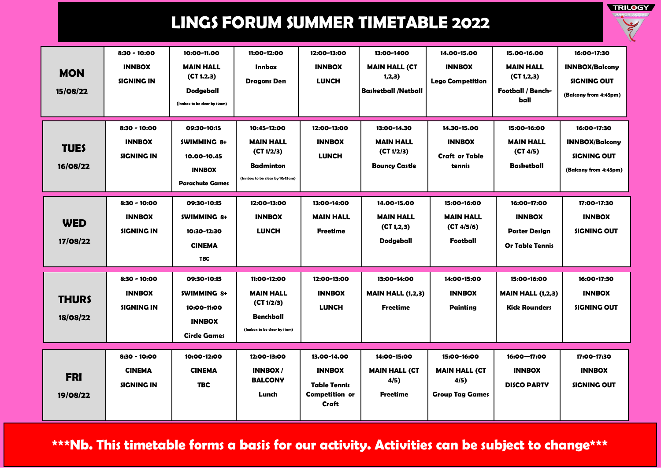

| <b>MON</b><br>15/08/22   | 8:30 - 10:00<br><b>INNBOX</b><br>SIGNING IN          | 10:00-11.00<br><b>MAIN HALL</b><br>(CT 1.2.3)<br><b>Dodgeball</b><br>(Innbox to be clear by 10am) | 11:00-12:00<br><b>Innbox</b><br><b>Dragons Den</b>                                                   | 12:00-13:00<br><b>INNBOX</b><br><b>LUNCH</b>                                   | 13:00-1400<br><b>MAIN HALL (CT</b><br>1,2,3)<br><b>Basketball /Netball</b> | 14.00-15.00<br><b>INNBOX</b><br><b>Lego Competition</b>               | 15.00-16.00<br><b>MAIN HALL</b><br>(CT 1, 2, 3)<br>Football / Bench-<br>ball   | 16:00-17:30<br><b>INNBOX/Balcony</b><br>SIGNING OUT<br>(Balcony from 4:45pm)        |
|--------------------------|------------------------------------------------------|---------------------------------------------------------------------------------------------------|------------------------------------------------------------------------------------------------------|--------------------------------------------------------------------------------|----------------------------------------------------------------------------|-----------------------------------------------------------------------|--------------------------------------------------------------------------------|-------------------------------------------------------------------------------------|
| <b>TUES</b><br>16/08/22  | 8:30 - 10:00<br><b>INNBOX</b><br><b>SIGNING IN</b>   | 09:30-10:15<br><b>SWIMMING 8+</b><br>10.00-10.45<br><b>INNBOX</b><br><b>Parachute Games</b>       | 10:45-12:00<br><b>MAIN HALL</b><br>(CT 1/2/3)<br><b>Badminton</b><br>(Innbox to be clear by 10:45am) | 12:00-13:00<br><b>INNBOX</b><br><b>LUNCH</b>                                   | 13:00-14.30<br><b>MAIN HALL</b><br>(CI1/2/3)<br><b>Bouncy Castle</b>       | 14.30-15.00<br><b>INNBOX</b><br><b>Craft or Table</b><br>tennis       | 15:00-16:00<br><b>MAIN HALL</b><br>(CT 4/5)<br>Basketball                      | 16:00-17:30<br><b>INNBOX/Balcony</b><br><b>SIGNING OUT</b><br>(Balcony from 4:45pm) |
| <b>WED</b><br>17/08/22   | 8:30 - 10:00<br><b>INNBOX</b><br>SIGNING IN          | 09:30-10:15<br><b>SWIMMING 8+</b><br>10:30-12:30<br><b>CINEMA</b><br><b>TBC</b>                   | 12:00-13:00<br><b>INNBOX</b><br><b>LUNCH</b>                                                         | 13:00-14:00<br><b>MAIN HALL</b><br><b>Freetime</b>                             | 14.00-15.00<br><b>MAIN HALL</b><br>(CT 1, 2, 3)<br><b>Dodgeball</b>        | 15:00-16:00<br><b>MAIN HALL</b><br>(CT 4/5/6)<br>Football             | 16:00-17:00<br><b>INNBOX</b><br><b>Poster Design</b><br><b>Or Table Tennis</b> | 17:00-17:30<br><b>INNBOX</b><br>SIGNING OUT                                         |
| <b>THURS</b><br>18/08/22 | $8:30 - 10:00$<br><b>INNBOX</b><br><b>SIGNING IN</b> | 09:30-10:15<br><b>SWIMMING 8+</b><br>10:00-11:00<br><b>INNBOX</b><br><b>Circle Games</b>          | 11:00-12:00<br><b>MAIN HALL</b><br>(CT 1/2/3)<br><b>Benchball</b><br>(Innbox to be clear by 11am)    | 12:00-13:00<br><b>INNBOX</b><br><b>LUNCH</b>                                   | 13:00-14:00<br><b>MAIN HALL (1,2,3)</b><br><b>Freetime</b>                 | 14:00-15:00<br><b>INNBOX</b><br><b>Painting</b>                       | 15:00-16:00<br><b>MAIN HALL (1,2,3)</b><br><b>Kick Rounders</b>                | 16:00-17:30<br><b>INNBOX</b><br><b>SIGNING OUT</b>                                  |
| <b>FRI</b><br>19/08/22   | 8:30 - 10:00<br><b>CINEMA</b><br><b>SIGNING IN</b>   | 10:00-12:00<br><b>CINEMA</b><br><b>TBC</b>                                                        | 12:00-13:00<br><b>INNBOX/</b><br><b>BALCONY</b><br>Lunch                                             | 13.00-14.00<br><b>INNBOX</b><br><b>Table Tennis</b><br>Competition or<br>Craft | 14:00-15:00<br><b>MAIN HALL (CT</b><br>4/5)<br><b>Freetime</b>             | 15:00-16:00<br><b>MAIN HALL (CT</b><br>4/5)<br><b>Group Tag Games</b> | 16:00-17:00<br><b>INNBOX</b><br><b>DISCO PARTY</b>                             | 17:00-17:30<br><b>INNBOX</b><br><b>SIGNING OUT</b>                                  |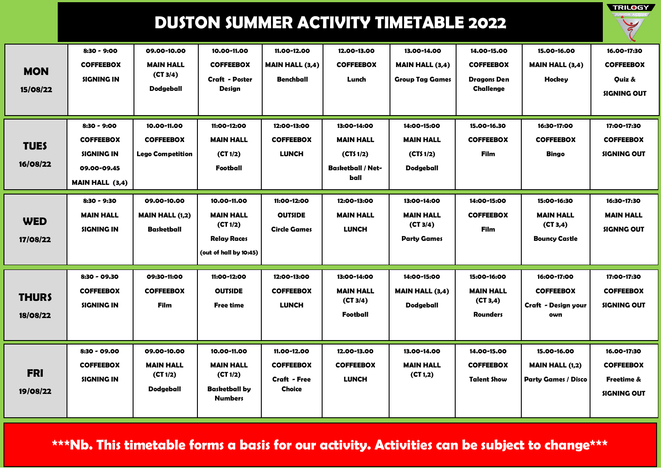**TRILOGY** 

| <b>MON</b><br>15/08/22   | $8:30 - 9:00$<br><b>COFFEEBOX</b><br><b>SIGNING IN</b>                                          | 09.00-10.00<br><b>MAIN HALL</b><br>(CT 3/4)<br><b>Dodgeball</b> | 10.00-11.00<br><b>COFFEEBOX</b><br><b>Craft - Poster</b><br>Design                          | 11.00-12.00<br><b>MAIN HALL (3,4)</b><br>Benchball                      | 12.00-13.00<br><b>COFFEEBOX</b><br>Lunch                                        | 13.00-14.00<br><b>MAIN HALL (3,4)</b><br><b>Group Tag Games</b>   | 14.00-15.00<br><b>COFFEEBOX</b><br>Dragons Den<br>Challenge     | 15.00-16.00<br><b>MAIN HALL (3,4)</b><br>Hockey                     | 16.00-17:30<br><b>COFFEEBOX</b><br>Quiz &<br><b>SIGNING OUT</b>                |
|--------------------------|-------------------------------------------------------------------------------------------------|-----------------------------------------------------------------|---------------------------------------------------------------------------------------------|-------------------------------------------------------------------------|---------------------------------------------------------------------------------|-------------------------------------------------------------------|-----------------------------------------------------------------|---------------------------------------------------------------------|--------------------------------------------------------------------------------|
| <b>TUES</b><br>16/08/22  | $8:30 - 9:00$<br><b>COFFEEBOX</b><br><b>SIGNING IN</b><br>09.00-09.45<br><b>MAIN HALL (3,4)</b> | 10.00-11.00<br><b>COFFEEBOX</b><br><b>Lego Competition</b>      | 11:00-12:00<br><b>MAIN HALL</b><br>(CI 1/2)<br>Football                                     | 12:00-13:00<br><b>COFFEEBOX</b><br><b>LUNCH</b>                         | 13:00-14:00<br><b>MAIN HALL</b><br>(CTS1/2)<br><b>Basketball / Net-</b><br>ball | 14:00-15:00<br><b>MAIN HALL</b><br>(CTS 1/2)<br>Dodgeball         | 15.00-16.30<br><b>COFFEEBOX</b><br><b>Film</b>                  | 16:30-17:00<br><b>COFFEEBOX</b><br><b>Bingo</b>                     | 17:00-17:30<br><b>COFFEEBOX</b><br><b>SIGNING OUT</b>                          |
| <b>WED</b><br>17/08/22   | $8:30 - 9:30$<br><b>MAIN HALL</b><br><b>SIGNING IN</b>                                          | 09.00-10.00<br><b>MAIN HALL (1,2)</b><br><b>Basketball</b>      | 10.00-11.00<br><b>MAIN HALL</b><br>(CI 1/2)<br><b>Relay Races</b><br>(out of hall by 10:45) | 11:00-12:00<br><b>OUTSIDE</b><br><b>Circle Games</b>                    | 12:00-13:00<br><b>MAIN HALL</b><br><b>LUNCH</b>                                 | 13:00-14:00<br><b>MAIN HALL</b><br>(CT 3/4)<br><b>Party Games</b> | 14:00-15:00<br><b>COFFEEBOX</b><br>Film                         | 15:00-16:30<br><b>MAIN HALL</b><br>(CT 3,4)<br><b>Bouncy Castle</b> | 16:30-17:30<br><b>MAIN HALL</b><br><b>SIGNNG OUT</b>                           |
| <b>THURS</b><br>18/08/22 | 8:30 - 09.30<br><b>COFFEEBOX</b><br>SIGNING IN                                                  | 09:30-11:00<br><b>COFFEEBOX</b><br><b>Film</b>                  | 11:00-12:00<br><b>OUTSIDE</b><br><b>Free time</b>                                           | 12:00-13:00<br><b>COFFEEBOX</b><br><b>LUNCH</b>                         | 13:00-14:00<br><b>MAIN HALL</b><br>(CT 3/4)<br>Football                         | 14:00-15:00<br><b>MAIN HALL (3,4)</b><br>Dodgeball                | 15:00-16:00<br><b>MAIN HALL</b><br>(CT 3, 4)<br><b>Rounders</b> | 16:00-17:00<br><b>COFFEEBOX</b><br>Craft - Design your<br>own       | 17:00-17:30<br><b>COFFEEBOX</b><br><b>SIGNING OUT</b>                          |
| <b>FRI</b><br>19/08/22   | $8:30 - 09.00$<br><b>COFFEEBOX</b><br><b>SIGNING IN</b>                                         | 09.00-10.00<br><b>MAIN HALL</b><br>(CT 1/2)<br><b>Dodgeball</b> | 10.00-11.00<br><b>MAIN HALL</b><br>(CI 1/2)<br><b>Basketball by</b><br><b>Numbers</b>       | 11.00-12.00<br><b>COFFEEBOX</b><br><b>Craft - Free</b><br><b>Choice</b> | 12.00-13.00<br><b>COFFEEBOX</b><br><b>LUNCH</b>                                 | 13.00-14.00<br><b>MAIN HALL</b><br>(CT 1,2)                       | 14.00-15.00<br><b>COFFEEBOX</b><br><b>Talent Show</b>           | 15.00-16.00<br><b>MAIN HALL (1,2)</b><br><b>Party Games / Disco</b> | 16.00-17:30<br><b>COFFEEBOX</b><br><b>Freetime &amp;</b><br><b>SIGNING OUT</b> |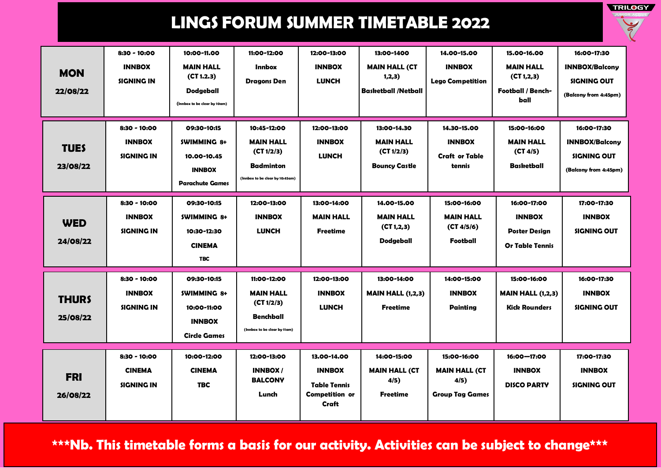

| <b>MON</b><br>22/08/22   | 8:30 - 10:00<br><b>INNBOX</b><br><b>SIGNING IN</b> | 10:00-11.00<br><b>MAIN HALL</b><br>(CT 1.2.3)<br><b>Dodgeball</b><br>(Innbox to be clear by 10am) | 11:00-12:00<br><b>Innbox</b><br><b>Dragons Den</b>                                                   | 12:00-13:00<br><b>INNBOX</b><br><b>LUNCH</b>                                   | 13:00-1400<br><b>MAIN HALL (CT</b><br>1,2,3)<br><b>Basketball /Netball</b> | 14.00-15.00<br><b>INNBOX</b><br><b>Lego Competition</b>               | 15.00-16.00<br><b>MAIN HALL</b><br>(CI 1, 2, 3)<br><b>Football / Bench-</b><br>ball | 16:00-17:30<br><b>INNBOX/Balcony</b><br>SIGNING OUT<br>(Balcony from 4:45pm) |
|--------------------------|----------------------------------------------------|---------------------------------------------------------------------------------------------------|------------------------------------------------------------------------------------------------------|--------------------------------------------------------------------------------|----------------------------------------------------------------------------|-----------------------------------------------------------------------|-------------------------------------------------------------------------------------|------------------------------------------------------------------------------|
| <b>TUES</b><br>23/08/22  | 8:30 - 10:00<br><b>INNBOX</b><br>SIGNING IN        | 09:30-10:15<br><b>SWIMMING 8+</b><br>10.00-10.45<br><b>INNBOX</b><br><b>Parachute Games</b>       | 10:45-12:00<br><b>MAIN HALL</b><br>(CT 1/2/3)<br><b>Badminton</b><br>(Innbox to be clear by 10:45am) | 12:00-13:00<br><b>INNBOX</b><br><b>LUNCH</b>                                   | 13:00-14.30<br><b>MAIN HALL</b><br>(CI 1/2/3)<br><b>Bouncy Castle</b>      | 14.30-15.00<br><b>INNBOX</b><br><b>Craft or Table</b><br>tennis       | 15:00-16:00<br><b>MAIN HALL</b><br>(CI 4/5)<br><b>Basketball</b>                    | 16:00-17:30<br><b>INNBOX/Balcony</b><br>SIGNING OUT<br>(Balcony from 4:45pm) |
| <b>WED</b><br>24/08/22   | 8:30 - 10:00<br><b>INNBOX</b><br><b>SIGNING IN</b> | 09:30-10:15<br><b>SWIMMING 8+</b><br>10:30-12:30<br><b>CINEMA</b><br><b>TBC</b>                   | 12:00-13:00<br><b>INNBOX</b><br><b>LUNCH</b>                                                         | 13:00-14:00<br><b>MAIN HALL</b><br><b>Freetime</b>                             | 14.00-15.00<br><b>MAIN HALL</b><br>(CT 1, 2, 3)<br><b>Dodgeball</b>        | 15:00-16:00<br><b>MAIN HALL</b><br>(CT 4/5/6)<br>Football             | 16:00-17:00<br><b>INNBOX</b><br><b>Poster Design</b><br><b>Or Table Tennis</b>      | 17:00-17:30<br><b>INNBOX</b><br>SIGNING OUT                                  |
| <b>THURS</b><br>25/08/22 | 8:30 - 10:00<br><b>INNBOX</b><br><b>SIGNING IN</b> | 09:30-10:15<br><b>SWIMMING 8+</b><br>10:00-11:00<br><b>INNBOX</b><br><b>Circle Games</b>          | 11:00-12:00<br><b>MAIN HALL</b><br>(CI 1/2/3)<br><b>Benchball</b><br>(Innbox to be clear by 11am)    | 12:00-13:00<br><b>INNBOX</b><br><b>LUNCH</b>                                   | 13:00-14:00<br><b>MAIN HALL (1,2,3)</b><br><b>Freetime</b>                 | 14:00-15:00<br><b>INNBOX</b><br><b>Painting</b>                       | 15:00-16:00<br><b>MAIN HALL (1,2,3)</b><br><b>Kick Rounders</b>                     | 16:00-17:30<br><b>INNBOX</b><br><b>SIGNING OUT</b>                           |
| <b>FRI</b><br>26/08/22   | 8:30 - 10:00<br><b>CINEMA</b><br><b>SIGNING IN</b> | 10:00-12:00<br><b>CINEMA</b><br><b>TBC</b>                                                        | 12:00-13:00<br><b>INNBOX/</b><br><b>BALCONY</b><br>Lunch                                             | 13.00-14.00<br><b>INNBOX</b><br><b>Table Tennis</b><br>Competition or<br>Craft | 14:00-15:00<br><b>MAIN HALL (CT</b><br>4/5)<br><b>Freetime</b>             | 15:00-16:00<br><b>MAIN HALL (CT</b><br>4/5)<br><b>Group Tag Games</b> | 16:00-17:00<br><b>INNBOX</b><br><b>DISCO PARTY</b>                                  | 17:00-17:30<br><b>INNBOX</b><br><b>SIGNING OUT</b>                           |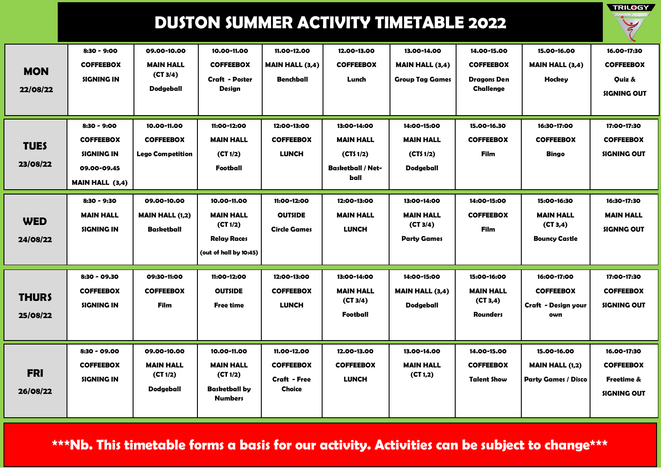**TRILOGY** 

| <b>MON</b><br>22/08/22   | $8:30 - 9:00$<br><b>COFFEEBOX</b><br><b>SIGNING IN</b>                                          | 09.00-10.00<br><b>MAIN HALL</b><br>(CT 3/4)<br><b>Dodgeball</b> | 10.00-11.00<br><b>COFFEEBOX</b><br><b>Craft - Poster</b><br>Design                          | 11.00-12.00<br><b>MAIN HALL (3,4)</b><br><b>Benchball</b>               | 12.00-13.00<br><b>COFFEEBOX</b><br>Lunch                                        | 13.00-14.00<br><b>MAIN HALL (3,4)</b><br><b>Group Tag Games</b>   | 14.00-15.00<br><b>COFFEEBOX</b><br><b>Dragons Den</b><br>Challenge | 15.00-16.00<br><b>MAIN HALL (3,4)</b><br>Hockey                      | 16.00-17:30<br><b>COFFEEBOX</b><br>Quiz &<br><b>SIGNING OUT</b>     |
|--------------------------|-------------------------------------------------------------------------------------------------|-----------------------------------------------------------------|---------------------------------------------------------------------------------------------|-------------------------------------------------------------------------|---------------------------------------------------------------------------------|-------------------------------------------------------------------|--------------------------------------------------------------------|----------------------------------------------------------------------|---------------------------------------------------------------------|
| <b>TUES</b><br>23/08/22  | $8:30 - 9:00$<br><b>COFFEEBOX</b><br><b>SIGNING IN</b><br>09.00-09.45<br><b>MAIN HALL (3,4)</b> | 10.00-11.00<br><b>COFFEEBOX</b><br><b>Lego Competition</b>      | 11:00-12:00<br><b>MAIN HALL</b><br>(CI 1/2)<br>Football                                     | 12:00-13:00<br><b>COFFEEBOX</b><br><b>LUNCH</b>                         | 13:00-14:00<br><b>MAIN HALL</b><br>(CTS1/2)<br><b>Basketball / Net-</b><br>ball | 14:00-15:00<br><b>MAIN HALL</b><br>(CTS 1/2)<br><b>Dodgeball</b>  | 15.00-16.30<br><b>COFFEEBOX</b><br>Film                            | 16:30-17:00<br><b>COFFEEBOX</b><br><b>Bingo</b>                      | 17:00-17:30<br><b>COFFEEBOX</b><br><b>SIGNING OUT</b>               |
| <b>WED</b><br>24/08/22   | $8:30 - 9:30$<br><b>MAIN HALL</b><br><b>SIGNING IN</b>                                          | 09.00-10.00<br><b>MAIN HALL (1,2)</b><br><b>Basketball</b>      | 10.00-11.00<br><b>MAIN HALL</b><br>(CI 1/2)<br><b>Relay Races</b><br>(out of hall by 10:45) | 11:00-12:00<br><b>OUTSIDE</b><br><b>Circle Games</b>                    | 12:00-13:00<br><b>MAIN HALL</b><br><b>LUNCH</b>                                 | 13:00-14:00<br><b>MAIN HALL</b><br>(CT 3/4)<br><b>Party Games</b> | 14:00-15:00<br><b>COFFEEBOX</b><br>Film                            | 15:00-16:30<br><b>MAIN HALL</b><br>(CT 3, 4)<br><b>Bouncy Castle</b> | 16:30-17:30<br><b>MAIN HALL</b><br><b>SIGNNG OUT</b>                |
| <b>THURS</b><br>25/08/22 | 8:30 - 09.30<br><b>COFFEEBOX</b><br><b>SIGNING IN</b>                                           | 09:30-11:00<br><b>COFFEEBOX</b><br>Film                         | 11:00-12:00<br><b>OUTSIDE</b><br><b>Free time</b>                                           | 12:00-13:00<br><b>COFFEEBOX</b><br><b>LUNCH</b>                         | 13:00-14:00<br><b>MAIN HALL</b><br>(CT 3/4)<br>Football                         | 14:00-15:00<br><b>MAIN HALL (3,4)</b><br>Dodgeball                | 15:00-16:00<br><b>MAIN HALL</b><br>(CT 3, 4)<br><b>Rounders</b>    | 16:00-17:00<br><b>COFFEEBOX</b><br>Craft - Design your<br>own        | 17:00-17:30<br><b>COFFEEBOX</b><br><b>SIGNING OUT</b>               |
| <b>FRI</b><br>26/08/22   | 8:30 - 09.00<br><b>COFFEEBOX</b><br><b>SIGNING IN</b>                                           | 09.00-10.00<br><b>MAIN HALL</b><br>(CT 1/2)<br><b>Dodgeball</b> | 10.00-11.00<br><b>MAIN HALL</b><br>(CI 1/2)<br><b>Basketball by</b><br><b>Numbers</b>       | 11.00-12.00<br><b>COFFEEBOX</b><br><b>Craft - Free</b><br><b>Choice</b> | 12.00-13.00<br><b>COFFEEBOX</b><br><b>LUNCH</b>                                 | 13.00-14.00<br><b>MAIN HALL</b><br>(CT 1,2)                       | 14.00-15.00<br><b>COFFEEBOX</b><br><b>Talent Show</b>              | 15.00-16.00<br><b>MAIN HALL (1,2)</b><br><b>Party Games / Disco</b>  | 16.00-17:30<br><b>COFFEEBOX</b><br>Freetime &<br><b>SIGNING OUT</b> |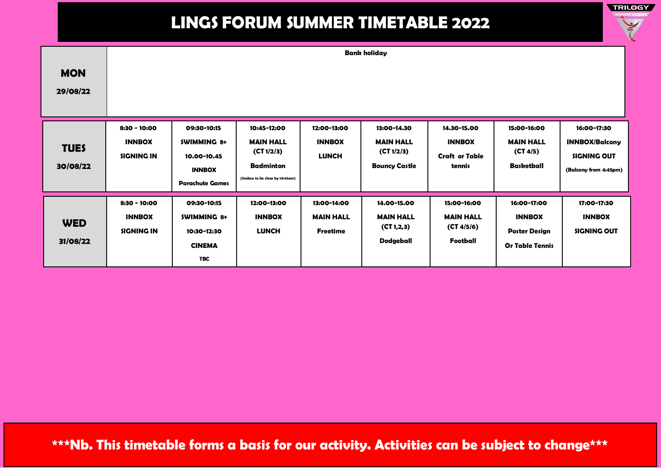

**WED 31/08/22 8:30 - 10:00 INNBOX SIGNING IN 09:30-10:15 SWIMMING 8+ 10:30-12:30 CINEMA TBC 12:00-13:00 INNBOX LUNCH 13:00-14:00 MAIN HALL Freetime 14.00-15.00 MAIN HALL (CT 1,2,3) Dodgeball 15:00-16:00 MAIN HALL (CT 4/5/6) Football 16:00-17:00 INNBOX Poster Design Or Table Tennis 17:00-17:30 INNBOX SIGNING OUT MON 29/08/22 Bank holiday TUES 30/08/22 8:30 - 10:00 INNBOX SIGNING IN 09:30-10:15 SWIMMING 8+ 10.00-10.45 INNBOX Parachute Games 10:45-12:00 MAIN HALL (CT 1/2/3) Badminton (Innbox to be clear by 10:45am) 12:00-13:00 INNBOX LUNCH 13:00-14.30 MAIN HALL (CT 1/2/3) Bouncy Castle 14.30-15.00 INNBOX Craft or Table tennis 15:00-16:00 MAIN HALL (CT 4/5) Basketball 16:00-17:30 INNBOX/Balcony SIGNING OUT (Balcony from 4:45pm)**